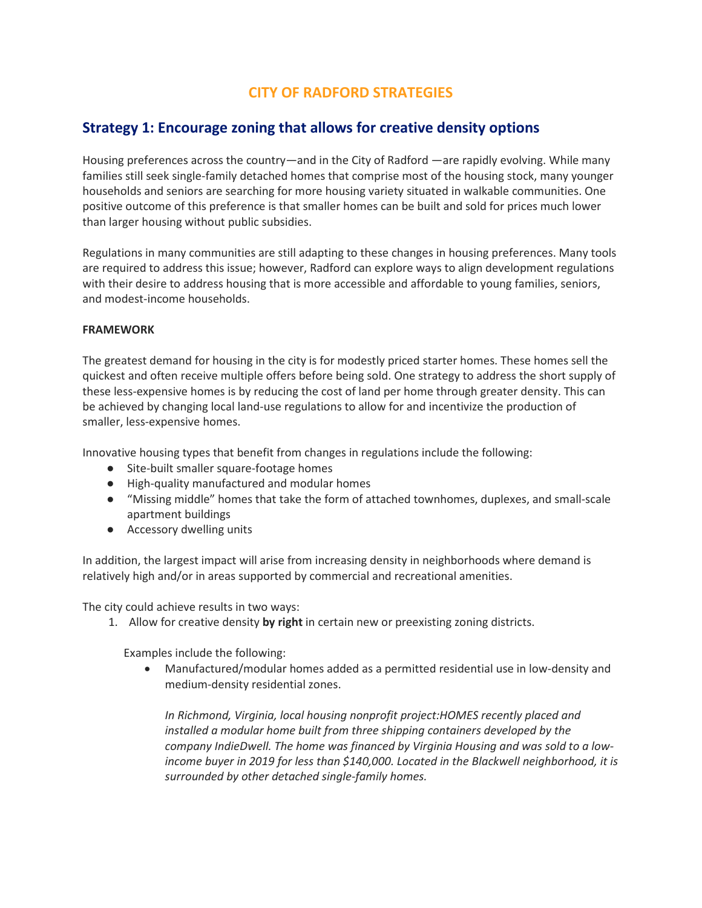# **CITY OF RADFORD STRATEGIES**

# **Strategy 1: Encourage zoning that allows for creative density options**

Housing preferences across the country—and in the City of Radford —are rapidly evolving. While many families still seek single-family detached homes that comprise most of the housing stock, many younger households and seniors are searching for more housing variety situated in walkable communities. One positive outcome of this preference is that smaller homes can be built and sold for prices much lower than larger housing without public subsidies.

Regulations in many communities are still adapting to these changes in housing preferences. Many tools are required to address this issue; however, Radford can explore ways to align development regulations with their desire to address housing that is more accessible and affordable to young families, seniors, and modest-income households.

### **FRAMEWORK**

The greatest demand for housing in the city is for modestly priced starter homes. These homes sell the quickest and often receive multiple offers before being sold. One strategy to address the short supply of these less-expensive homes is by reducing the cost of land per home through greater density. This can be achieved by changing local land-use regulations to allow for and incentivize the production of smaller, less-expensive homes.

Innovative housing types that benefit from changes in regulations include the following:

- Site-built smaller square-footage homes
- High-quality manufactured and modular homes
- "Missing middle" homes that take the form of attached townhomes, duplexes, and small-scale apartment buildings
- Accessory dwelling units

In addition, the largest impact will arise from increasing density in neighborhoods where demand is relatively high and/or in areas supported by commercial and recreational amenities.

The city could achieve results in two ways:

1. Allow for creative density **by right** in certain new or preexisting zoning districts.

Examples include the following:

• Manufactured/modular homes added as a permitted residential use in low-density and medium-density residential zones.

*In Richmond, Virginia, local housing nonprofit project:HOMES recently placed and installed a modular home built from three shipping containers developed by the company IndieDwell. The home was financed by Virginia Housing and was sold to a lowincome buyer in 2019 for less than \$140,000. Located in the Blackwell neighborhood, it is surrounded by other detached single-family homes.*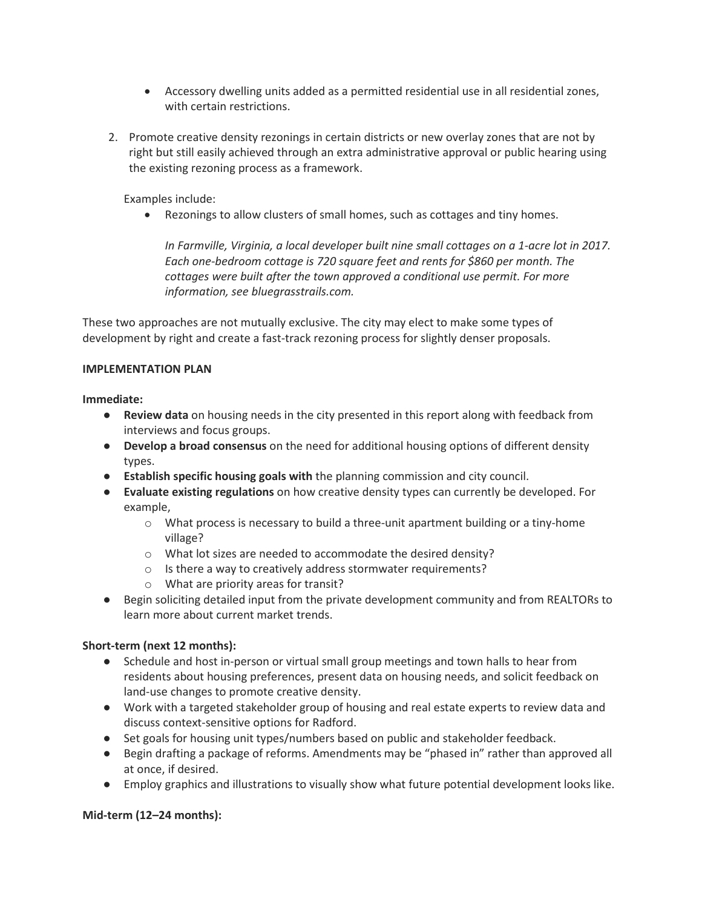- Accessory dwelling units added as a permitted residential use in all residential zones, with certain restrictions.
- 2. Promote creative density rezonings in certain districts or new overlay zones that are not by right but still easily achieved through an extra administrative approval or public hearing using the existing rezoning process as a framework.

Examples include:

• Rezonings to allow clusters of small homes, such as cottages and tiny homes.

*In Farmville, Virginia, a local developer built nine small cottages on a 1-acre lot in 2017. Each one-bedroom cottage is 720 square feet and rents for \$860 per month. The cottages were built after the town approved a conditional use permit. For more information, see bluegrasstrails.com.*

These two approaches are not mutually exclusive. The city may elect to make some types of development by right and create a fast-track rezoning process for slightly denser proposals.

### **IMPLEMENTATION PLAN**

**Immediate:**

- **Review data** on housing needs in the city presented in this report along with feedback from interviews and focus groups.
- **Develop a broad consensus** on the need for additional housing options of different density types.
- **Establish specific housing goals with** the planning commission and city council.
- **Evaluate existing regulations** on how creative density types can currently be developed. For example,
	- $\circ$  What process is necessary to build a three-unit apartment building or a tiny-home village?
	- o What lot sizes are needed to accommodate the desired density?
	- o Is there a way to creatively address stormwater requirements?
	- o What are priority areas for transit?
- Begin soliciting detailed input from the private development community and from REALTORs to learn more about current market trends.

# **Short-term (next 12 months):**

- Schedule and host in-person or virtual small group meetings and town halls to hear from residents about housing preferences, present data on housing needs, and solicit feedback on land-use changes to promote creative density.
- Work with a targeted stakeholder group of housing and real estate experts to review data and discuss context-sensitive options for Radford.
- Set goals for housing unit types/numbers based on public and stakeholder feedback.
- Begin drafting a package of reforms. Amendments may be "phased in" rather than approved all at once, if desired.
- Employ graphics and illustrations to visually show what future potential development looks like.

### **Mid-term (12–24 months):**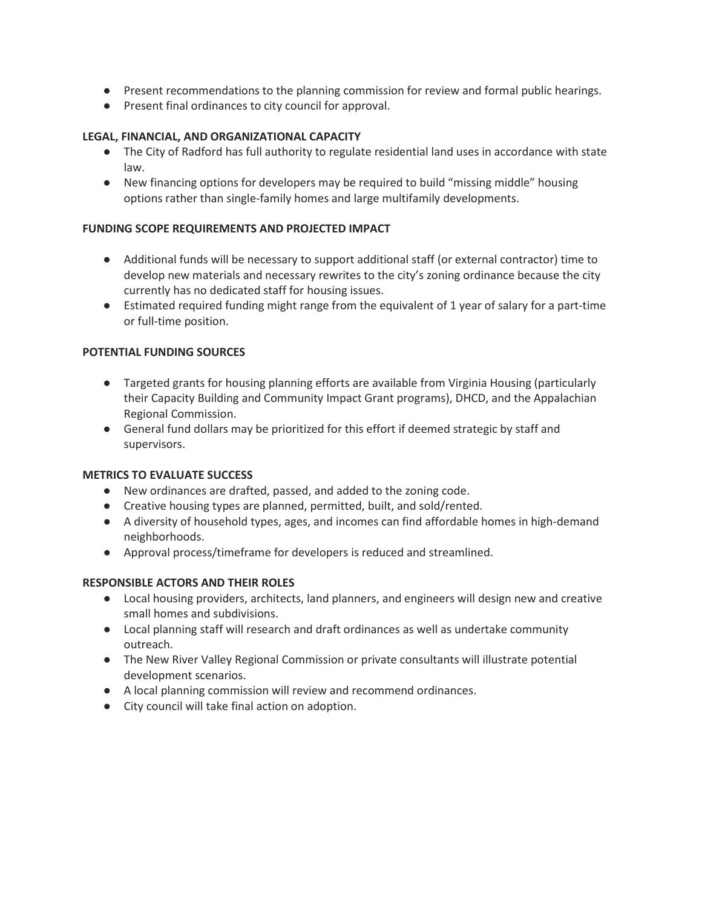- Present recommendations to the planning commission for review and formal public hearings.
- Present final ordinances to city council for approval.

# **LEGAL, FINANCIAL, AND ORGANIZATIONAL CAPACITY**

- The City of Radford has full authority to regulate residential land uses in accordance with state law.
- New financing options for developers may be required to build "missing middle" housing options rather than single-family homes and large multifamily developments.

### **FUNDING SCOPE REQUIREMENTS AND PROJECTED IMPACT**

- Additional funds will be necessary to support additional staff (or external contractor) time to develop new materials and necessary rewrites to the city's zoning ordinance because the city currently has no dedicated staff for housing issues.
- Estimated required funding might range from the equivalent of 1 year of salary for a part-time or full-time position.

## **POTENTIAL FUNDING SOURCES**

- Targeted grants for housing planning efforts are available from Virginia Housing (particularly their Capacity Building and Community Impact Grant programs), DHCD, and the Appalachian Regional Commission.
- General fund dollars may be prioritized for this effort if deemed strategic by staff and supervisors.

### **METRICS TO EVALUATE SUCCESS**

- New ordinances are drafted, passed, and added to the zoning code.
- Creative housing types are planned, permitted, built, and sold/rented.
- A diversity of household types, ages, and incomes can find affordable homes in high-demand neighborhoods.
- Approval process/timeframe for developers is reduced and streamlined.

### **RESPONSIBLE ACTORS AND THEIR ROLES**

- Local housing providers, architects, land planners, and engineers will design new and creative small homes and subdivisions.
- Local planning staff will research and draft ordinances as well as undertake community outreach.
- The New River Valley Regional Commission or private consultants will illustrate potential development scenarios.
- A local planning commission will review and recommend ordinances.
- City council will take final action on adoption.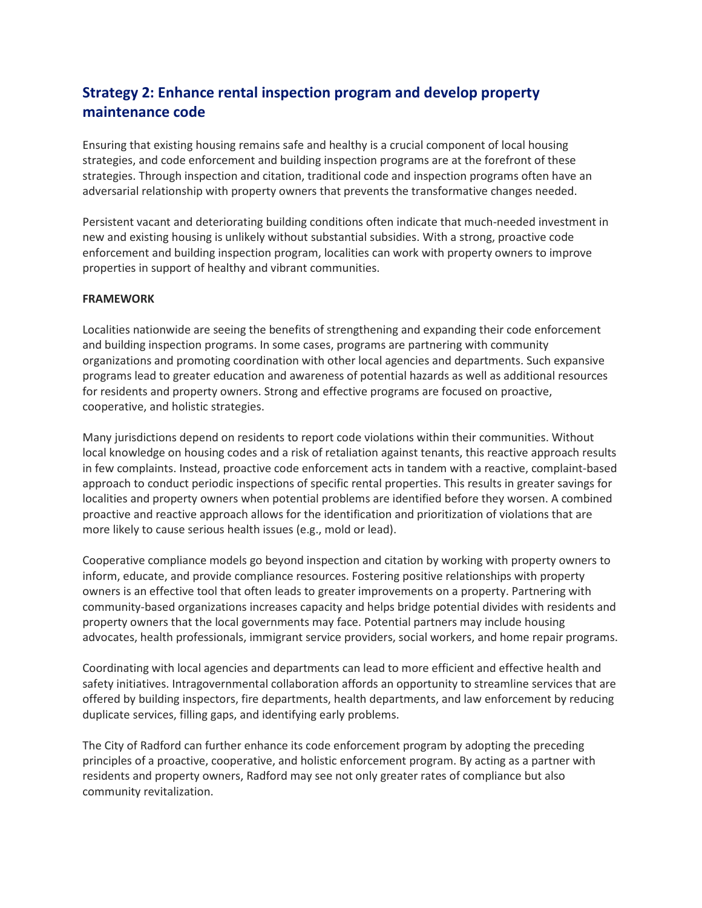# **Strategy 2: Enhance rental inspection program and develop property maintenance code**

Ensuring that existing housing remains safe and healthy is a crucial component of local housing strategies, and code enforcement and building inspection programs are at the forefront of these strategies. Through inspection and citation, traditional code and inspection programs often have an adversarial relationship with property owners that prevents the transformative changes needed.

Persistent vacant and deteriorating building conditions often indicate that much-needed investment in new and existing housing is unlikely without substantial subsidies. With a strong, proactive code enforcement and building inspection program, localities can work with property owners to improve properties in support of healthy and vibrant communities.

#### **FRAMEWORK**

Localities nationwide are seeing the benefits of strengthening and expanding their code enforcement and building inspection programs. In some cases, programs are partnering with community organizations and promoting coordination with other local agencies and departments. Such expansive programs lead to greater education and awareness of potential hazards as well as additional resources for residents and property owners. Strong and effective programs are focused on proactive, cooperative, and holistic strategies.

Many jurisdictions depend on residents to report code violations within their communities. Without local knowledge on housing codes and a risk of retaliation against tenants, this reactive approach results in few complaints. Instead, proactive code enforcement acts in tandem with a reactive, complaint-based approach to conduct periodic inspections of specific rental properties. This results in greater savings for localities and property owners when potential problems are identified before they worsen. A combined proactive and reactive approach allows for the identification and prioritization of violations that are more likely to cause serious health issues (e.g., mold or lead).

Cooperative compliance models go beyond inspection and citation by working with property owners to inform, educate, and provide compliance resources. Fostering positive relationships with property owners is an effective tool that often leads to greater improvements on a property. Partnering with community-based organizations increases capacity and helps bridge potential divides with residents and property owners that the local governments may face. Potential partners may include housing advocates, health professionals, immigrant service providers, social workers, and home repair programs.

Coordinating with local agencies and departments can lead to more efficient and effective health and safety initiatives. Intragovernmental collaboration affords an opportunity to streamline services that are offered by building inspectors, fire departments, health departments, and law enforcement by reducing duplicate services, filling gaps, and identifying early problems.

The City of Radford can further enhance its code enforcement program by adopting the preceding principles of a proactive, cooperative, and holistic enforcement program. By acting as a partner with residents and property owners, Radford may see not only greater rates of compliance but also community revitalization.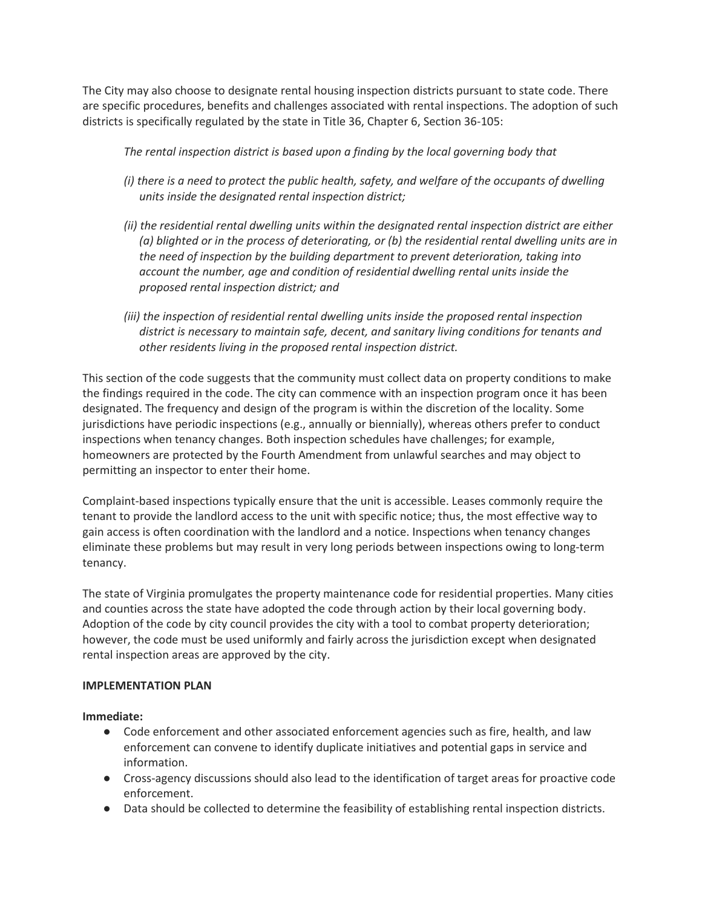The City may also choose to designate rental housing inspection districts pursuant to state code. There are specific procedures, benefits and challenges associated with rental inspections. The adoption of such districts is specifically regulated by the state in Title 36, Chapter 6, Section 36-105:

*The rental inspection district is based upon a finding by the local governing body that*

- *(i) there is a need to protect the public health, safety, and welfare of the occupants of dwelling units inside the designated rental inspection district;*
- *(ii) the residential rental dwelling units within the designated rental inspection district are either (a) blighted or in the process of deteriorating, or (b) the residential rental dwelling units are in the need of inspection by the building department to prevent deterioration, taking into account the number, age and condition of residential dwelling rental units inside the proposed rental inspection district; and*
- *(iii) the inspection of residential rental dwelling units inside the proposed rental inspection district is necessary to maintain safe, decent, and sanitary living conditions for tenants and other residents living in the proposed rental inspection district.*

This section of the code suggests that the community must collect data on property conditions to make the findings required in the code. The city can commence with an inspection program once it has been designated. The frequency and design of the program is within the discretion of the locality. Some jurisdictions have periodic inspections (e.g., annually or biennially), whereas others prefer to conduct inspections when tenancy changes. Both inspection schedules have challenges; for example, homeowners are protected by the Fourth Amendment from unlawful searches and may object to permitting an inspector to enter their home.

Complaint-based inspections typically ensure that the unit is accessible. Leases commonly require the tenant to provide the landlord access to the unit with specific notice; thus, the most effective way to gain access is often coordination with the landlord and a notice. Inspections when tenancy changes eliminate these problems but may result in very long periods between inspections owing to long-term tenancy.

The state of Virginia promulgates the property maintenance code for residential properties. Many cities and counties across the state have adopted the code through action by their local governing body. Adoption of the code by city council provides the city with a tool to combat property deterioration; however, the code must be used uniformly and fairly across the jurisdiction except when designated rental inspection areas are approved by the city.

### **IMPLEMENTATION PLAN**

**Immediate:**

- Code enforcement and other associated enforcement agencies such as fire, health, and law enforcement can convene to identify duplicate initiatives and potential gaps in service and information.
- Cross-agency discussions should also lead to the identification of target areas for proactive code enforcement.
- Data should be collected to determine the feasibility of establishing rental inspection districts.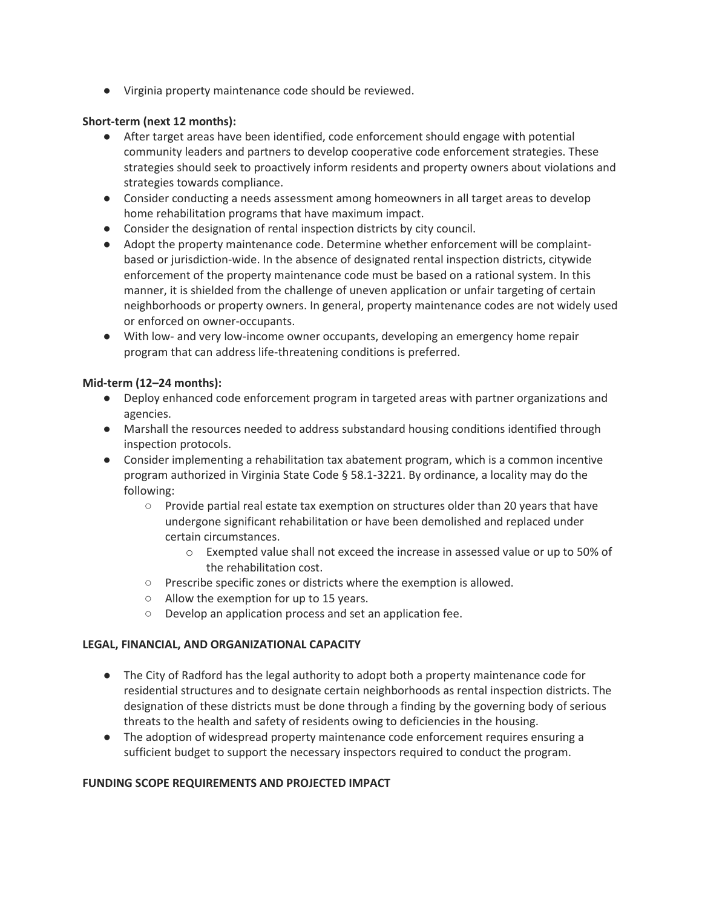● Virginia property maintenance code should be reviewed.

## **Short-term (next 12 months):**

- After target areas have been identified, code enforcement should engage with potential community leaders and partners to develop cooperative code enforcement strategies. These strategies should seek to proactively inform residents and property owners about violations and strategies towards compliance.
- Consider conducting a needs assessment among homeowners in all target areas to develop home rehabilitation programs that have maximum impact.
- Consider the designation of rental inspection districts by city council.
- Adopt the property maintenance code. Determine whether enforcement will be complaintbased or jurisdiction-wide. In the absence of designated rental inspection districts, citywide enforcement of the property maintenance code must be based on a rational system. In this manner, it is shielded from the challenge of uneven application or unfair targeting of certain neighborhoods or property owners. In general, property maintenance codes are not widely used or enforced on owner-occupants.
- With low- and very low-income owner occupants, developing an emergency home repair program that can address life-threatening conditions is preferred.

### **Mid-term (12–24 months):**

- Deploy enhanced code enforcement program in targeted areas with partner organizations and agencies.
- Marshall the resources needed to address substandard housing conditions identified through inspection protocols.
- Consider implementing a rehabilitation tax abatement program, which is a common incentive program authorized in Virginia State Code § 58.1-3221. By ordinance, a locality may do the following:
	- $\circ$  Provide partial real estate tax exemption on structures older than 20 years that have undergone significant rehabilitation or have been demolished and replaced under certain circumstances.
		- o Exempted value shall not exceed the increase in assessed value or up to 50% of the rehabilitation cost.
	- Prescribe specific zones or districts where the exemption is allowed.
	- Allow the exemption for up to 15 years.
	- Develop an application process and set an application fee.

### **LEGAL, FINANCIAL, AND ORGANIZATIONAL CAPACITY**

- The City of Radford has the legal authority to adopt both a property maintenance code for residential structures and to designate certain neighborhoods as rental inspection districts. The designation of these districts must be done through a finding by the governing body of serious threats to the health and safety of residents owing to deficiencies in the housing.
- The adoption of widespread property maintenance code enforcement requires ensuring a sufficient budget to support the necessary inspectors required to conduct the program.

### **FUNDING SCOPE REQUIREMENTS AND PROJECTED IMPACT**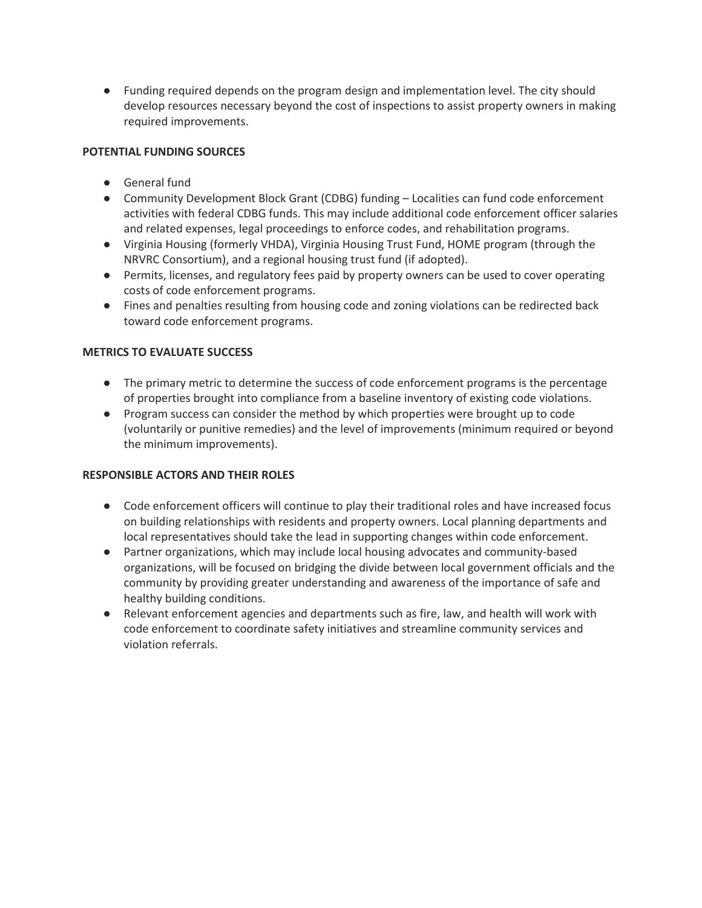● Funding required depends on the program design and implementation level. The city should develop resources necessary beyond the cost of inspections to assist property owners in making required improvements.

# **POTENTIAL FUNDING SOURCES**

- General fund
- Community Development Block Grant (CDBG) funding Localities can fund code enforcement activities with federal CDBG funds. This may include additional code enforcement officer salaries and related expenses, legal proceedings to enforce codes, and rehabilitation programs.
- Virginia Housing (formerly VHDA), Virginia Housing Trust Fund, HOME program (through the NRVRC Consortium), and a regional housing trust fund (if adopted).
- Permits, licenses, and regulatory fees paid by property owners can be used to cover operating costs of code enforcement programs.
- Fines and penalties resulting from housing code and zoning violations can be redirected back toward code enforcement programs.

## **METRICS TO EVALUATE SUCCESS**

- The primary metric to determine the success of code enforcement programs is the percentage of properties brought into compliance from a baseline inventory of existing code violations.
- Program success can consider the method by which properties were brought up to code (voluntarily or punitive remedies) and the level of improvements (minimum required or beyond the minimum improvements).

### **RESPONSIBLE ACTORS AND THEIR ROLES**

- Code enforcement officers will continue to play their traditional roles and have increased focus on building relationships with residents and property owners. Local planning departments and local representatives should take the lead in supporting changes within code enforcement.
- Partner organizations, which may include local housing advocates and community-based organizations, will be focused on bridging the divide between local government officials and the community by providing greater understanding and awareness of the importance of safe and healthy building conditions.
- Relevant enforcement agencies and departments such as fire, law, and health will work with code enforcement to coordinate safety initiatives and streamline community services and violation referrals.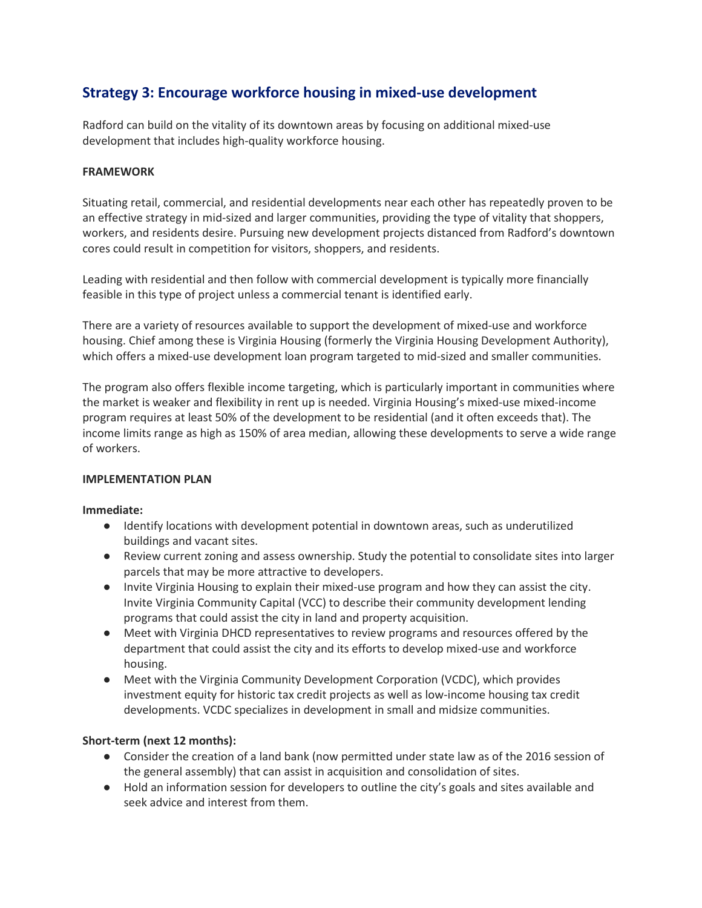# **Strategy 3: Encourage workforce housing in mixed-use development**

Radford can build on the vitality of its downtown areas by focusing on additional mixed-use development that includes high-quality workforce housing.

### **FRAMEWORK**

Situating retail, commercial, and residential developments near each other has repeatedly proven to be an effective strategy in mid-sized and larger communities, providing the type of vitality that shoppers, workers, and residents desire. Pursuing new development projects distanced from Radford's downtown cores could result in competition for visitors, shoppers, and residents.

Leading with residential and then follow with commercial development is typically more financially feasible in this type of project unless a commercial tenant is identified early.

There are a variety of resources available to support the development of mixed-use and workforce housing. Chief among these is Virginia Housing (formerly the Virginia Housing Development Authority), which offers a mixed-use development loan program targeted to mid-sized and smaller communities.

The program also offers flexible income targeting, which is particularly important in communities where the market is weaker and flexibility in rent up is needed. Virginia Housing's mixed-use mixed-income program requires at least 50% of the development to be residential (and it often exceeds that). The income limits range as high as 150% of area median, allowing these developments to serve a wide range of workers.

### **IMPLEMENTATION PLAN**

### **Immediate:**

- Identify locations with development potential in downtown areas, such as underutilized buildings and vacant sites.
- Review current zoning and assess ownership. Study the potential to consolidate sites into larger parcels that may be more attractive to developers.
- Invite Virginia Housing to explain their mixed-use program and how they can assist the city. Invite Virginia Community Capital (VCC) to describe their community development lending programs that could assist the city in land and property acquisition.
- Meet with Virginia DHCD representatives to review programs and resources offered by the department that could assist the city and its efforts to develop mixed-use and workforce housing.
- Meet with the Virginia Community Development Corporation (VCDC), which provides investment equity for historic tax credit projects as well as low-income housing tax credit developments. VCDC specializes in development in small and midsize communities.

# **Short-term (next 12 months):**

- Consider the creation of a land bank (now permitted under state law as of the 2016 session of the general assembly) that can assist in acquisition and consolidation of sites.
- Hold an information session for developers to outline the city's goals and sites available and seek advice and interest from them.